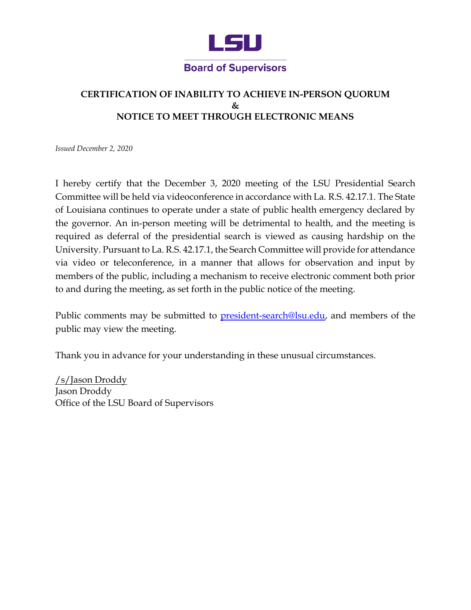

## **CERTIFICATION OF INABILITY TO ACHIEVE IN-PERSON QUORUM & NOTICE TO MEET THROUGH ELECTRONIC MEANS**

*Issued December 2, 2020* 

 of Louisiana continues to operate under a state of public health emergency declared by the governor. An in-person meeting will be detrimental to health, and the meeting is required as deferral of the presidential search is viewed as causing hardship on the University. Pursuant to La. R.S. 42.17.1, the Search Committee will provide for attendance via video or teleconference, in a manner that allows for observation and input by members of the public, including a mechanism to receive electronic comment both prior I hereby certify that the December 3, 2020 meeting of the LSU Presidential Search Committee will be held via videoconference in accordance with La. R.S. 42.17.1. The State to and during the meeting, as set forth in the public notice of the meeting.

Public comments may be submitted to <u>president-search@lsu.edu</u>, and members of the public may view the meeting.

Thank you in advance for your understanding in these unusual circumstances.

/s/Jason Droddy Jason Droddy Office of the LSU Board of Supervisors